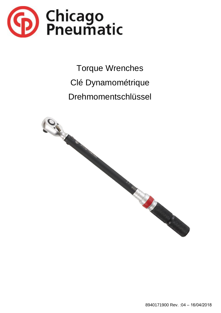

**Torque Wrenches** Clé Dynamométrique Drehmomentschlüssel

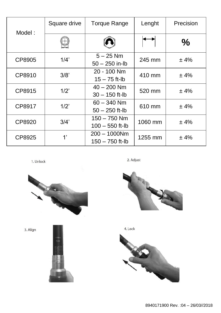| Model: | Square drive | <b>Torque Range</b>                  | Lenght  | Precision     |
|--------|--------------|--------------------------------------|---------|---------------|
|        |              |                                      |         | $\frac{0}{0}$ |
| CP8905 | 1/4'         | $5 - 25$ Nm<br>$50 - 250$ in-lb      | 245 mm  | ±4%           |
| CP8910 | 3/8          | 20 - 100 Nm<br>$15 - 75$ ft-lb       | 410 mm  | ±4%           |
| CP8915 | 1/2          | $40 - 200$ Nm<br>$30 - 150$ ft-lb    | 520 mm  | ±4%           |
| CP8917 | 1/2          | $60 - 340$ Nm<br>$50 - 250$ ft-lb    | 610 mm  | ±4%           |
| CP8920 | 3/4'         | $150 - 750$ Nm<br>$100 - 550$ ft-lb  | 1060 mm | ±4%           |
| CP8925 | 1'           | $200 - 1000$ Nm<br>$150 - 750$ ft-lb | 1255 mm | ±4%           |

1. Unlock

2. Adjust



3. Align







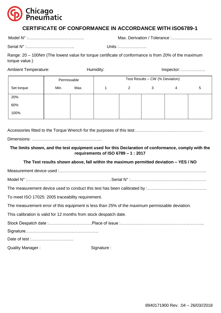

# **CERTIFICATE OF CONFORMANCE IN ACCORDANCE WITH ISO6789-1**

Model N° :…………………………………. Max. Derivation / Tolerance :………………………..

Range: 20 – 100Nm (The lowest value for torque certificate of conformance is from 20% of the maximum torque value.)

| <b>Ambient Temperature:</b> |             | Humidity: |                                 |   | $Inspector: \ldots \ldots \ldots \ldots \ldots$ |   |   |  |
|-----------------------------|-------------|-----------|---------------------------------|---|-------------------------------------------------|---|---|--|
|                             | Permissable |           | Test Results - CW (% Deviation) |   |                                                 |   |   |  |
| Set torque                  | Min.        | Max.      |                                 | 2 | 3                                               | 4 | 5 |  |
| 20%                         |             |           |                                 |   |                                                 |   |   |  |
| 60%                         |             |           |                                 |   |                                                 |   |   |  |
| 100%                        |             |           |                                 |   |                                                 |   |   |  |

Accessories fitted to the Torque Wrench for the purposes of this test:…………………………………………

Dimensions: …………………………………………..

## **The limits shown, and the test equipment used for this Declaration of conformance, comply with the requirements of ISO 6789 – 1 : 2017**

### **The Test results shown above, fall within the maximum permitted deviation – YES / NO**

Measurement device used :…………………………………………………………………………………………...

Model N° :……………………………………………………Serial N° :………………………………………………

The measurement device used to conduct this test has been calibrated by :…………………………………

To meet ISO 17025: 2005 traceability requirement.

The measurement error of this equipment is less than 25% of the maximum permissable deviation.

This calibration is valid for 12 months from stock despatch date.

Stock Despatch date :………………………….Place of issue :…………………………………………………... Signature……………………………………………. Date of test :…………………………

Quality Manager : Signature :